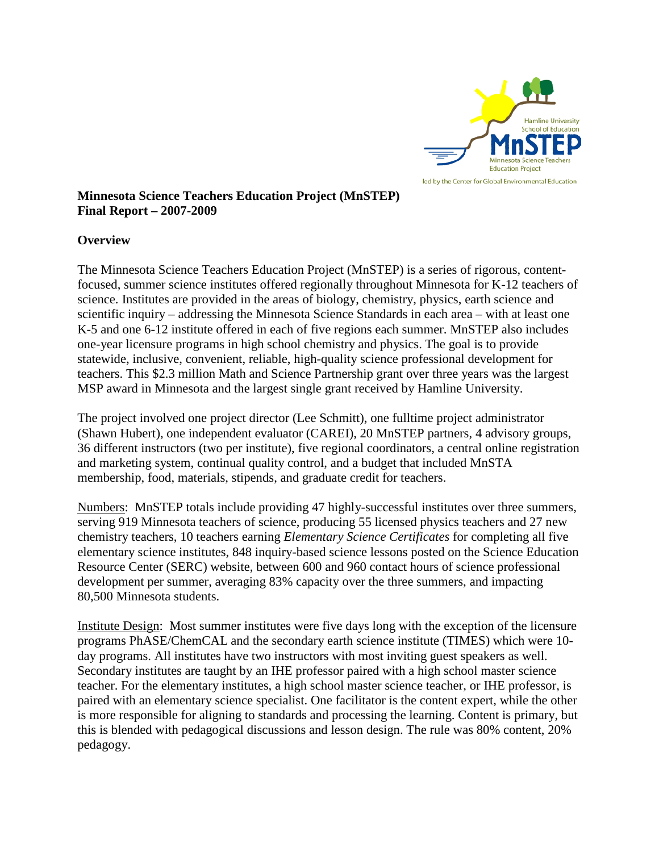

#### **Minnesota Science Teachers Education Project (MnSTEP) Final Report – 2007-2009**

#### **Overview**

The Minnesota Science Teachers Education Project (MnSTEP) is a series of rigorous, contentfocused, summer science institutes offered regionally throughout Minnesota for K-12 teachers of science. Institutes are provided in the areas of biology, chemistry, physics, earth science and scientific inquiry – addressing the Minnesota Science Standards in each area – with at least one K-5 and one 6-12 institute offered in each of five regions each summer. MnSTEP also includes one-year licensure programs in high school chemistry and physics. The goal is to provide statewide, inclusive, convenient, reliable, high-quality science professional development for teachers. This \$2.3 million Math and Science Partnership grant over three years was the largest MSP award in Minnesota and the largest single grant received by Hamline University.

The project involved one project director (Lee Schmitt), one fulltime project administrator (Shawn Hubert), one independent evaluator (CAREI), 20 MnSTEP partners, 4 advisory groups, 36 different instructors (two per institute), five regional coordinators, a central online registration and marketing system, continual quality control, and a budget that included MnSTA membership, food, materials, stipends, and graduate credit for teachers.

Numbers: MnSTEP totals include providing 47 highly-successful institutes over three summers, serving 919 Minnesota teachers of science, producing 55 licensed physics teachers and 27 new chemistry teachers, 10 teachers earning *Elementary Science Certificates* for completing all five elementary science institutes, 848 inquiry-based science lessons posted on the Science Education Resource Center (SERC) website, between 600 and 960 contact hours of science professional development per summer, averaging 83% capacity over the three summers, and impacting 80,500 Minnesota students.

Institute Design: Most summer institutes were five days long with the exception of the licensure programs PhASE/ChemCAL and the secondary earth science institute (TIMES) which were 10 day programs. All institutes have two instructors with most inviting guest speakers as well. Secondary institutes are taught by an IHE professor paired with a high school master science teacher. For the elementary institutes, a high school master science teacher, or IHE professor, is paired with an elementary science specialist. One facilitator is the content expert, while the other is more responsible for aligning to standards and processing the learning. Content is primary, but this is blended with pedagogical discussions and lesson design. The rule was 80% content, 20% pedagogy.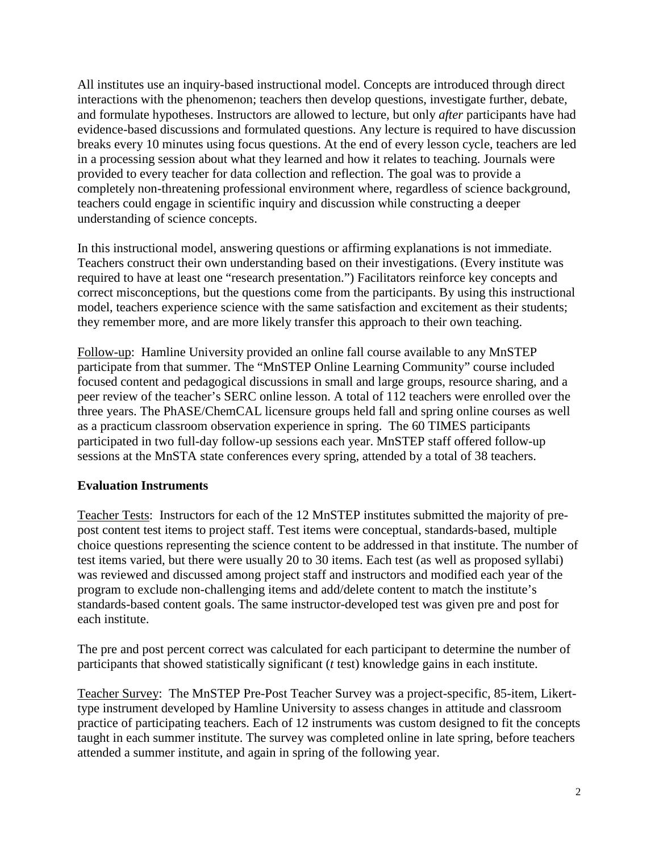All institutes use an inquiry-based instructional model. Concepts are introduced through direct interactions with the phenomenon; teachers then develop questions, investigate further, debate, and formulate hypotheses. Instructors are allowed to lecture, but only *after* participants have had evidence-based discussions and formulated questions. Any lecture is required to have discussion breaks every 10 minutes using focus questions. At the end of every lesson cycle, teachers are led in a processing session about what they learned and how it relates to teaching. Journals were provided to every teacher for data collection and reflection. The goal was to provide a completely non-threatening professional environment where, regardless of science background, teachers could engage in scientific inquiry and discussion while constructing a deeper understanding of science concepts.

In this instructional model, answering questions or affirming explanations is not immediate. Teachers construct their own understanding based on their investigations. (Every institute was required to have at least one "research presentation.") Facilitators reinforce key concepts and correct misconceptions, but the questions come from the participants. By using this instructional model, teachers experience science with the same satisfaction and excitement as their students; they remember more, and are more likely transfer this approach to their own teaching.

Follow-up: Hamline University provided an online fall course available to any MnSTEP participate from that summer. The "MnSTEP Online Learning Community" course included focused content and pedagogical discussions in small and large groups, resource sharing, and a peer review of the teacher's SERC online lesson. A total of 112 teachers were enrolled over the three years. The PhASE/ChemCAL licensure groups held fall and spring online courses as well as a practicum classroom observation experience in spring. The 60 TIMES participants participated in two full-day follow-up sessions each year. MnSTEP staff offered follow-up sessions at the MnSTA state conferences every spring, attended by a total of 38 teachers.

#### **Evaluation Instruments**

Teacher Tests: Instructors for each of the 12 MnSTEP institutes submitted the majority of prepost content test items to project staff. Test items were conceptual, standards-based, multiple choice questions representing the science content to be addressed in that institute. The number of test items varied, but there were usually 20 to 30 items. Each test (as well as proposed syllabi) was reviewed and discussed among project staff and instructors and modified each year of the program to exclude non-challenging items and add/delete content to match the institute's standards-based content goals. The same instructor-developed test was given pre and post for each institute.

The pre and post percent correct was calculated for each participant to determine the number of participants that showed statistically significant (*t* test) knowledge gains in each institute.

Teacher Survey:The MnSTEP Pre-Post Teacher Survey was a project-specific, 85-item, Likerttype instrument developed by Hamline University to assess changes in attitude and classroom practice of participating teachers. Each of 12 instruments was custom designed to fit the concepts taught in each summer institute. The survey was completed online in late spring, before teachers attended a summer institute, and again in spring of the following year.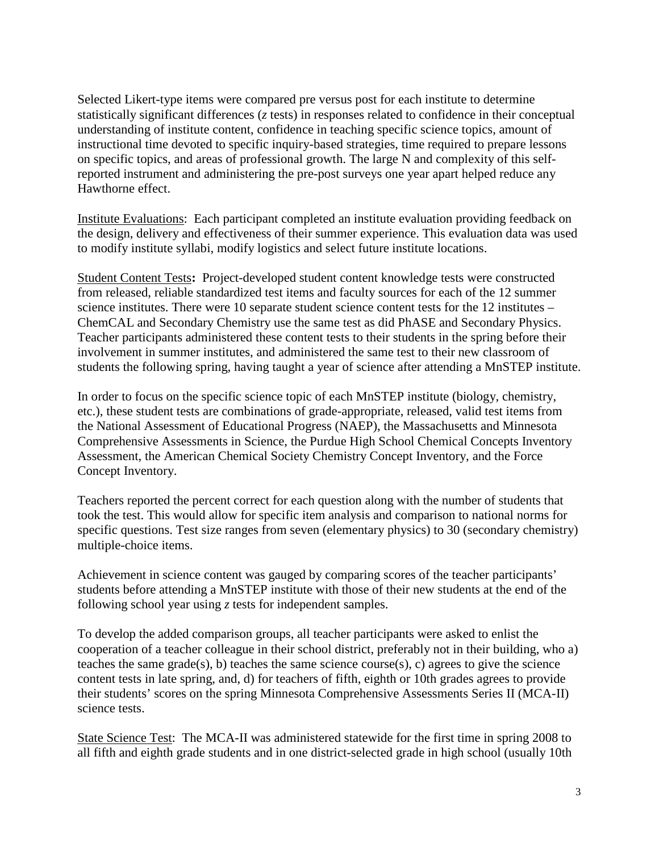Selected Likert-type items were compared pre versus post for each institute to determine statistically significant differences (*z* tests) in responses related to confidence in their conceptual understanding of institute content, confidence in teaching specific science topics, amount of instructional time devoted to specific inquiry-based strategies, time required to prepare lessons on specific topics, and areas of professional growth. The large N and complexity of this selfreported instrument and administering the pre-post surveys one year apart helped reduce any Hawthorne effect.

Institute Evaluations: Each participant completed an institute evaluation providing feedback on the design, delivery and effectiveness of their summer experience. This evaluation data was used to modify institute syllabi, modify logistics and select future institute locations.

Student Content Tests**:** Project-developed student content knowledge tests were constructed from released, reliable standardized test items and faculty sources for each of the 12 summer science institutes. There were 10 separate student science content tests for the 12 institutes – ChemCAL and Secondary Chemistry use the same test as did PhASE and Secondary Physics. Teacher participants administered these content tests to their students in the spring before their involvement in summer institutes, and administered the same test to their new classroom of students the following spring, having taught a year of science after attending a MnSTEP institute.

In order to focus on the specific science topic of each MnSTEP institute (biology, chemistry, etc.), these student tests are combinations of grade-appropriate, released, valid test items from the National Assessment of Educational Progress (NAEP), the Massachusetts and Minnesota Comprehensive Assessments in Science, the Purdue High School Chemical Concepts Inventory Assessment, the American Chemical Society Chemistry Concept Inventory, and the Force Concept Inventory.

Teachers reported the percent correct for each question along with the number of students that took the test. This would allow for specific item analysis and comparison to national norms for specific questions. Test size ranges from seven (elementary physics) to 30 (secondary chemistry) multiple-choice items.

Achievement in science content was gauged by comparing scores of the teacher participants' students before attending a MnSTEP institute with those of their new students at the end of the following school year using *z* tests for independent samples.

To develop the added comparison groups, all teacher participants were asked to enlist the cooperation of a teacher colleague in their school district, preferably not in their building, who a) teaches the same grade(s), b) teaches the same science course(s), c) agrees to give the science content tests in late spring, and, d) for teachers of fifth, eighth or 10th grades agrees to provide their students' scores on the spring Minnesota Comprehensive Assessments Series II (MCA-II) science tests.

State Science Test: The MCA-II was administered statewide for the first time in spring 2008 to all fifth and eighth grade students and in one district-selected grade in high school (usually 10th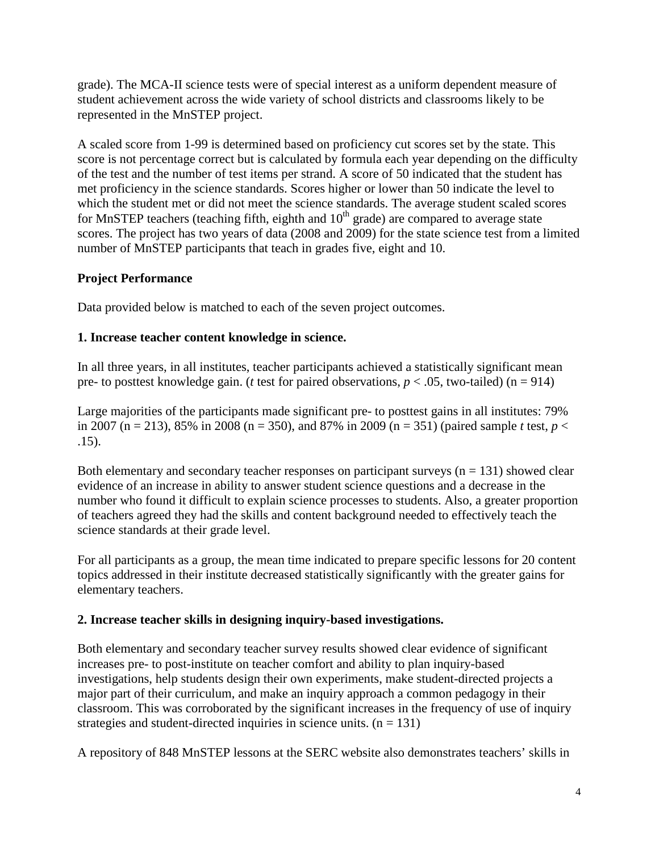grade). The MCA-II science tests were of special interest as a uniform dependent measure of student achievement across the wide variety of school districts and classrooms likely to be represented in the MnSTEP project.

A scaled score from 1-99 is determined based on proficiency cut scores set by the state. This score is not percentage correct but is calculated by formula each year depending on the difficulty of the test and the number of test items per strand. A score of 50 indicated that the student has met proficiency in the science standards. Scores higher or lower than 50 indicate the level to which the student met or did not meet the science standards. The average student scaled scores for MnSTEP teachers (teaching fifth, eighth and  $10<sup>th</sup>$  grade) are compared to average state scores. The project has two years of data (2008 and 2009) for the state science test from a limited number of MnSTEP participants that teach in grades five, eight and 10.

### **Project Performance**

Data provided below is matched to each of the seven project outcomes.

## **1. Increase teacher content knowledge in science.**

In all three years, in all institutes, teacher participants achieved a statistically significant mean pre- to posttest knowledge gain. (*t* test for paired observations,  $p < .05$ , two-tailed) (n = 914)

Large majorities of the participants made significant pre- to posttest gains in all institutes: 79% in 2007 (n = 213), 85% in 2008 (n = 350), and 87% in 2009 (n = 351) (paired sample *t* test,  $p <$ .15).

Both elementary and secondary teacher responses on participant surveys  $(n = 131)$  showed clear evidence of an increase in ability to answer student science questions and a decrease in the number who found it difficult to explain science processes to students. Also, a greater proportion of teachers agreed they had the skills and content background needed to effectively teach the science standards at their grade level.

For all participants as a group, the mean time indicated to prepare specific lessons for 20 content topics addressed in their institute decreased statistically significantly with the greater gains for elementary teachers.

### **2. Increase teacher skills in designing inquiry-based investigations.**

Both elementary and secondary teacher survey results showed clear evidence of significant increases pre- to post-institute on teacher comfort and ability to plan inquiry-based investigations, help students design their own experiments, make student-directed projects a major part of their curriculum, and make an inquiry approach a common pedagogy in their classroom. This was corroborated by the significant increases in the frequency of use of inquiry strategies and student-directed inquiries in science units.  $(n = 131)$ 

A repository of 848 MnSTEP lessons at the SERC website also demonstrates teachers' skills in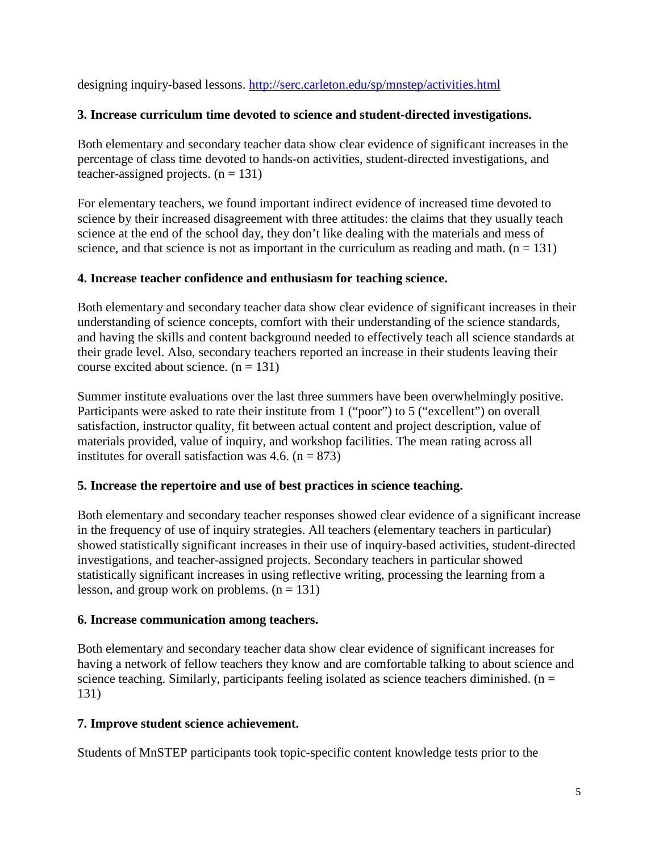designing inquiry-based lessons. <http://serc.carleton.edu/sp/mnstep/activities.html>

### **3. Increase curriculum time devoted to science and student-directed investigations.**

Both elementary and secondary teacher data show clear evidence of significant increases in the percentage of class time devoted to hands-on activities, student-directed investigations, and teacher-assigned projects.  $(n = 131)$ 

For elementary teachers, we found important indirect evidence of increased time devoted to science by their increased disagreement with three attitudes: the claims that they usually teach science at the end of the school day, they don't like dealing with the materials and mess of science, and that science is not as important in the curriculum as reading and math.  $(n = 131)$ 

## **4. Increase teacher confidence and enthusiasm for teaching science.**

Both elementary and secondary teacher data show clear evidence of significant increases in their understanding of science concepts, comfort with their understanding of the science standards, and having the skills and content background needed to effectively teach all science standards at their grade level. Also, secondary teachers reported an increase in their students leaving their course excited about science.  $(n = 131)$ 

Summer institute evaluations over the last three summers have been overwhelmingly positive. Participants were asked to rate their institute from 1 ("poor") to 5 ("excellent") on overall satisfaction, instructor quality, fit between actual content and project description, value of materials provided, value of inquiry, and workshop facilities. The mean rating across all institutes for overall satisfaction was 4.6.  $(n = 873)$ 

# **5. Increase the repertoire and use of best practices in science teaching.**

Both elementary and secondary teacher responses showed clear evidence of a significant increase in the frequency of use of inquiry strategies. All teachers (elementary teachers in particular) showed statistically significant increases in their use of inquiry-based activities, student-directed investigations, and teacher-assigned projects. Secondary teachers in particular showed statistically significant increases in using reflective writing, processing the learning from a lesson, and group work on problems.  $(n = 131)$ 

# **6. Increase communication among teachers.**

Both elementary and secondary teacher data show clear evidence of significant increases for having a network of fellow teachers they know and are comfortable talking to about science and science teaching. Similarly, participants feeling isolated as science teachers diminished. ( $n =$ 131)

# **7. Improve student science achievement.**

Students of MnSTEP participants took topic-specific content knowledge tests prior to the